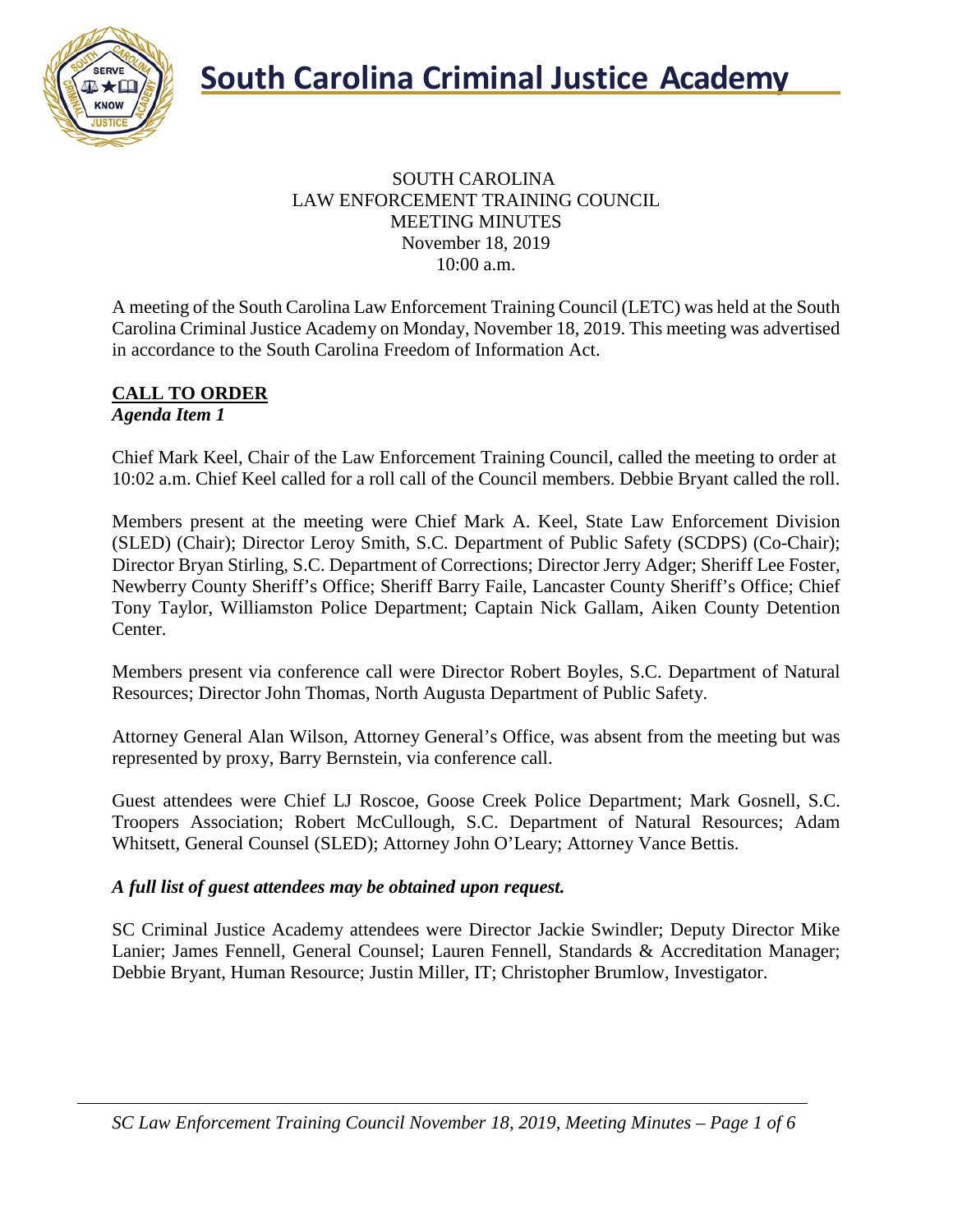

### SOUTH CAROLINA LAW ENFORCEMENT TRAINING COUNCIL MEETING MINUTES November 18, 2019 10:00 a.m.

A meeting of the South Carolina Law Enforcement Training Council (LETC) was held at the South Carolina Criminal Justice Academy on Monday, November 18, 2019. This meeting was advertised in accordance to the South Carolina Freedom of Information Act.

### **CALL TO ORDER** *Agenda Item 1*

Chief Mark Keel, Chair of the Law Enforcement Training Council, called the meeting to order at 10:02 a.m. Chief Keel called for a roll call of the Council members. Debbie Bryant called the roll.

Members present at the meeting were Chief Mark A. Keel, State Law Enforcement Division (SLED) (Chair); Director Leroy Smith, S.C. Department of Public Safety (SCDPS) (Co-Chair); Director Bryan Stirling, S.C. Department of Corrections; Director Jerry Adger; Sheriff Lee Foster, Newberry County Sheriff's Office; Sheriff Barry Faile, Lancaster County Sheriff's Office; Chief Tony Taylor, Williamston Police Department; Captain Nick Gallam, Aiken County Detention Center.

Members present via conference call were Director Robert Boyles, S.C. Department of Natural Resources; Director John Thomas, North Augusta Department of Public Safety.

Attorney General Alan Wilson, Attorney General's Office, was absent from the meeting but was represented by proxy, Barry Bernstein, via conference call.

Guest attendees were Chief LJ Roscoe, Goose Creek Police Department; Mark Gosnell, S.C. Troopers Association; Robert McCullough, S.C. Department of Natural Resources; Adam Whitsett, General Counsel (SLED); Attorney John O'Leary; Attorney Vance Bettis.

### *A full list of guest attendees may be obtained upon request.*

SC Criminal Justice Academy attendees were Director Jackie Swindler; Deputy Director Mike Lanier; James Fennell, General Counsel; Lauren Fennell, Standards & Accreditation Manager; Debbie Bryant, Human Resource; Justin Miller, IT; Christopher Brumlow, Investigator.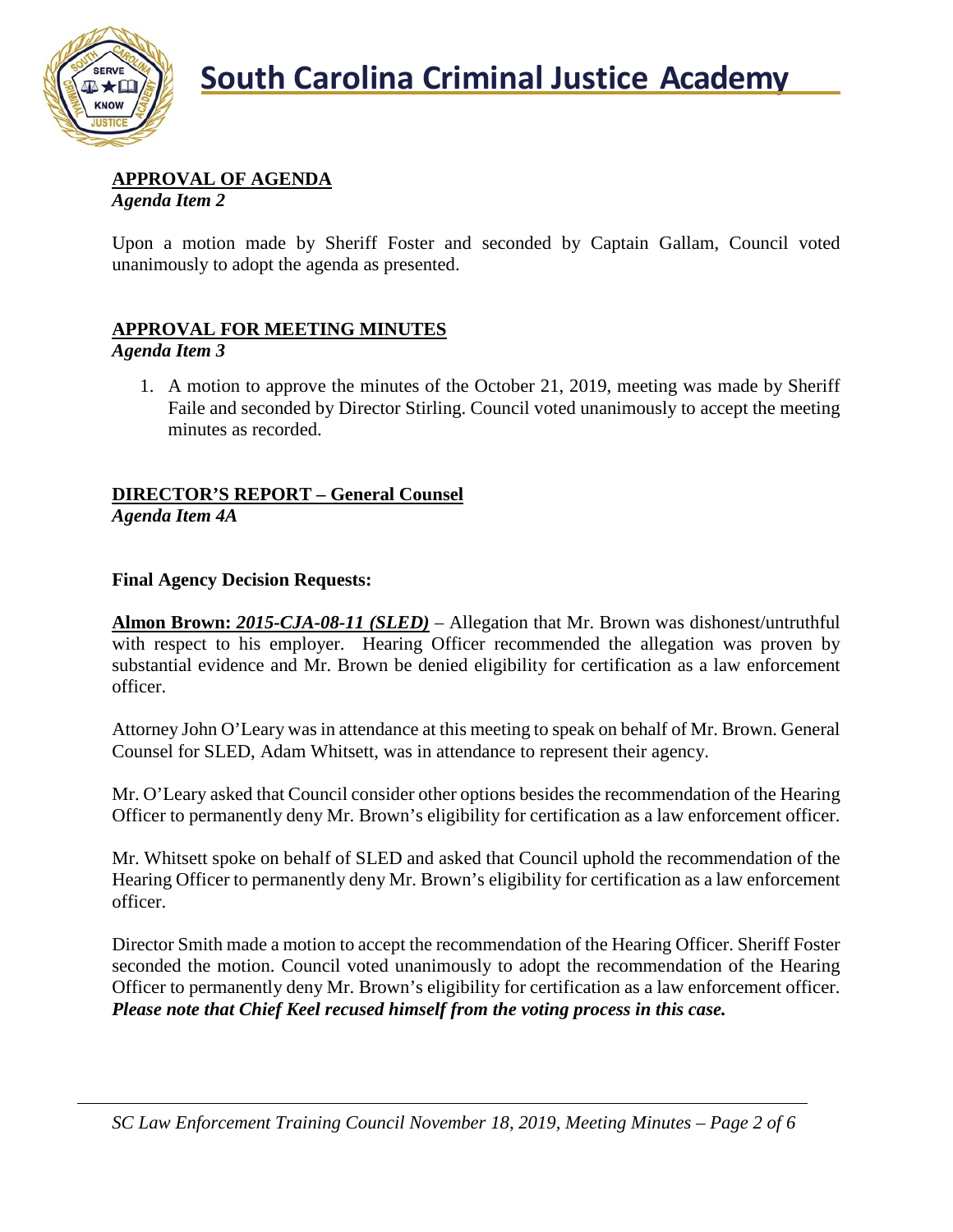

### **APPROVAL OF AGENDA**

*Agenda Item 2*

Upon a motion made by Sheriff Foster and seconded by Captain Gallam, Council voted unanimously to adopt the agenda as presented.

### **APPROVAL FOR MEETING MINUTES**

*Agenda Item 3*

1. A motion to approve the minutes of the October 21, 2019, meeting was made by Sheriff Faile and seconded by Director Stirling. Council voted unanimously to accept the meeting minutes as recorded.

### **DIRECTOR'S REPORT – General Counsel**

*Agenda Item 4A*

### **Final Agency Decision Requests:**

**Almon Brown:** *2015-CJA-08-11 (SLED)* – Allegation that Mr. Brown was dishonest/untruthful with respect to his employer. Hearing Officer recommended the allegation was proven by substantial evidence and Mr. Brown be denied eligibility for certification as a law enforcement officer.

Attorney John O'Leary was in attendance at this meeting to speak on behalf of Mr. Brown. General Counsel for SLED, Adam Whitsett, was in attendance to represent their agency.

Mr. O'Leary asked that Council consider other options besides the recommendation of the Hearing Officer to permanently deny Mr. Brown's eligibility for certification as a law enforcement officer.

Mr. Whitsett spoke on behalf of SLED and asked that Council uphold the recommendation of the Hearing Officer to permanently deny Mr. Brown's eligibility for certification as a law enforcement officer.

Director Smith made a motion to accept the recommendation of the Hearing Officer. Sheriff Foster seconded the motion. Council voted unanimously to adopt the recommendation of the Hearing Officer to permanently deny Mr. Brown's eligibility for certification as a law enforcement officer. *Please note that Chief Keel recused himself from the voting process in this case.*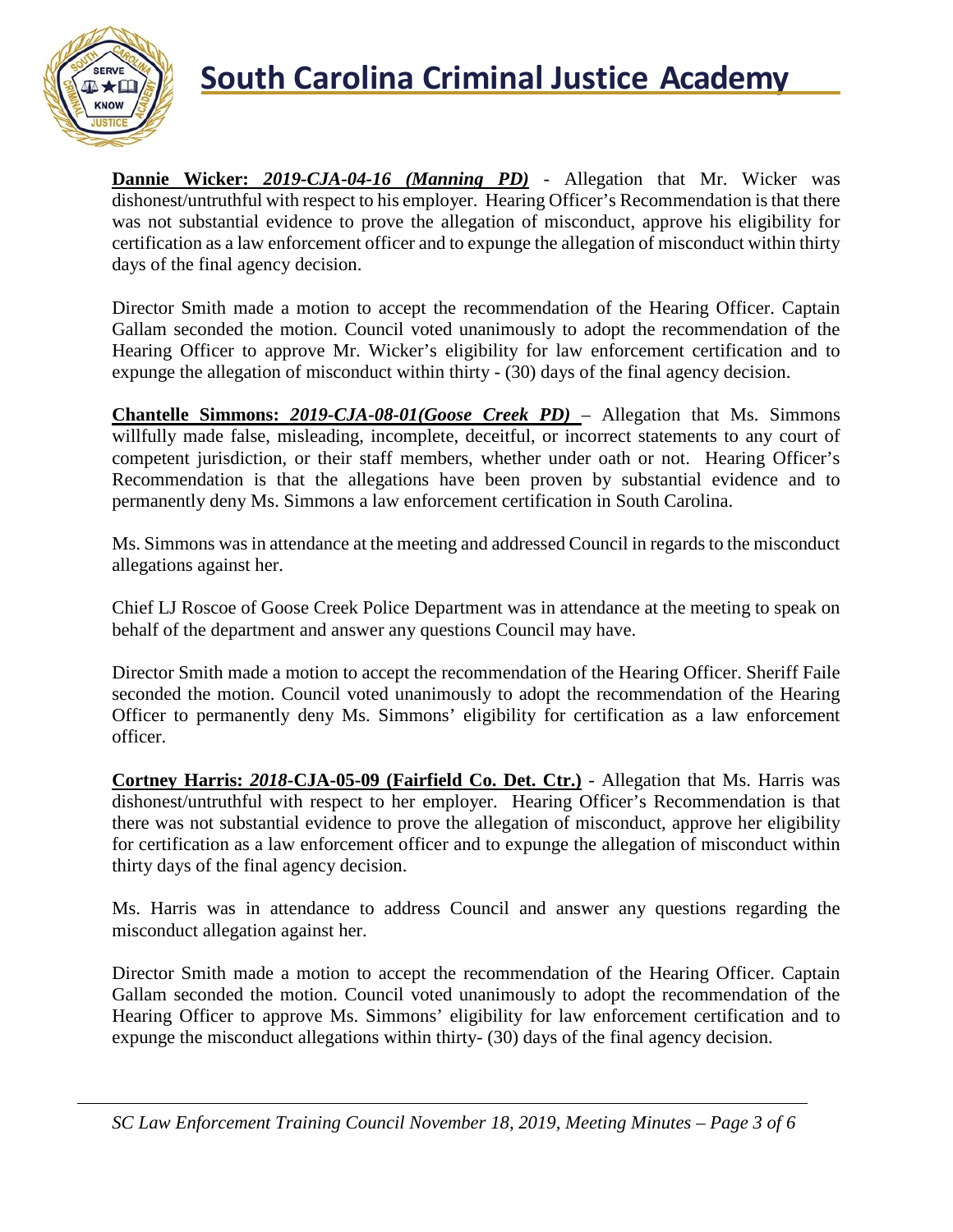

## **South Carolina Criminal Justice Academy**<br>KNOW

**Dannie Wicker:** *2019-CJA-04-16 (Manning PD)* - Allegation that Mr. Wicker was dishonest/untruthful with respect to his employer. Hearing Officer's Recommendation is that there was not substantial evidence to prove the allegation of misconduct, approve his eligibility for certification as a law enforcement officer and to expunge the allegation of misconduct within thirty days of the final agency decision.

Director Smith made a motion to accept the recommendation of the Hearing Officer. Captain Gallam seconded the motion. Council voted unanimously to adopt the recommendation of the Hearing Officer to approve Mr. Wicker's eligibility for law enforcement certification and to expunge the allegation of misconduct within thirty - (30) days of the final agency decision.

**Chantelle Simmons:** *2019-CJA-08-01(Goose Creek PD)* – Allegation that Ms. Simmons willfully made false, misleading, incomplete, deceitful, or incorrect statements to any court of competent jurisdiction, or their staff members, whether under oath or not. Hearing Officer's Recommendation is that the allegations have been proven by substantial evidence and to permanently deny Ms. Simmons a law enforcement certification in South Carolina.

Ms. Simmons was in attendance at the meeting and addressed Council in regards to the misconduct allegations against her.

Chief LJ Roscoe of Goose Creek Police Department was in attendance at the meeting to speak on behalf of the department and answer any questions Council may have.

Director Smith made a motion to accept the recommendation of the Hearing Officer. Sheriff Faile seconded the motion. Council voted unanimously to adopt the recommendation of the Hearing Officer to permanently deny Ms. Simmons' eligibility for certification as a law enforcement officer.

**Cortney Harris:** *2018***-CJA-05-09 (Fairfield Co. Det. Ctr.)** - Allegation that Ms. Harris was dishonest/untruthful with respect to her employer. Hearing Officer's Recommendation is that there was not substantial evidence to prove the allegation of misconduct, approve her eligibility for certification as a law enforcement officer and to expunge the allegation of misconduct within thirty days of the final agency decision.

Ms. Harris was in attendance to address Council and answer any questions regarding the misconduct allegation against her.

Director Smith made a motion to accept the recommendation of the Hearing Officer. Captain Gallam seconded the motion. Council voted unanimously to adopt the recommendation of the Hearing Officer to approve Ms. Simmons' eligibility for law enforcement certification and to expunge the misconduct allegations within thirty- (30) days of the final agency decision.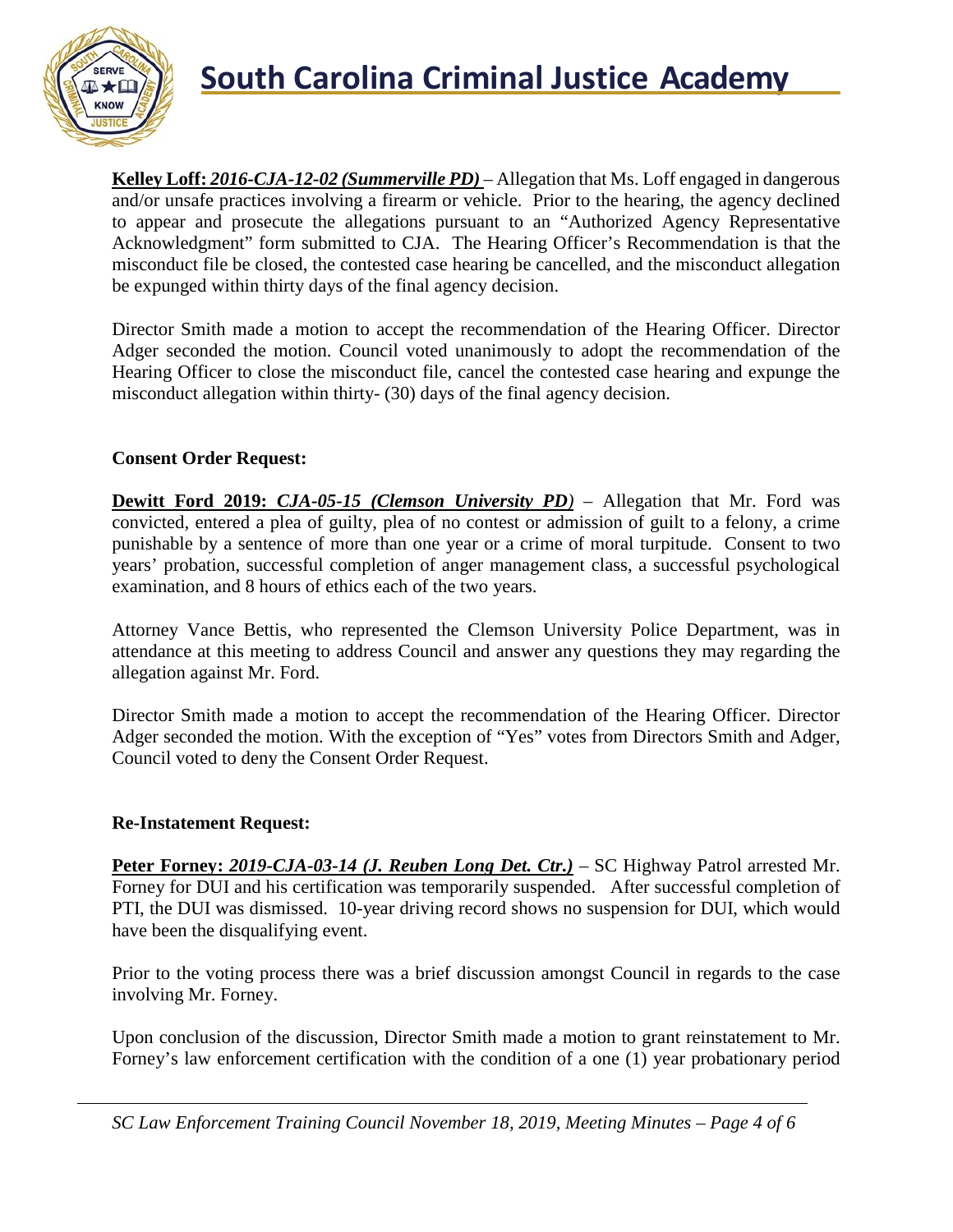

## **South Carolina Criminal Justice Academy**<br>KNOW

**Kelley Loff:** *2016-CJA-12-02 (Summerville PD)* – Allegation that Ms. Loff engaged in dangerous and/or unsafe practices involving a firearm or vehicle. Prior to the hearing, the agency declined to appear and prosecute the allegations pursuant to an "Authorized Agency Representative Acknowledgment" form submitted to CJA. The Hearing Officer's Recommendation is that the misconduct file be closed, the contested case hearing be cancelled, and the misconduct allegation be expunged within thirty days of the final agency decision.

Director Smith made a motion to accept the recommendation of the Hearing Officer. Director Adger seconded the motion. Council voted unanimously to adopt the recommendation of the Hearing Officer to close the misconduct file, cancel the contested case hearing and expunge the misconduct allegation within thirty- (30) days of the final agency decision.

### **Consent Order Request:**

**Dewitt Ford 2019:** *CJA-05-15 (Clemson University PD)* – Allegation that Mr. Ford was convicted, entered a plea of guilty, plea of no contest or admission of guilt to a felony, a crime punishable by a sentence of more than one year or a crime of moral turpitude. Consent to two years' probation, successful completion of anger management class, a successful psychological examination, and 8 hours of ethics each of the two years.

Attorney Vance Bettis, who represented the Clemson University Police Department, was in attendance at this meeting to address Council and answer any questions they may regarding the allegation against Mr. Ford.

Director Smith made a motion to accept the recommendation of the Hearing Officer. Director Adger seconded the motion. With the exception of "Yes" votes from Directors Smith and Adger, Council voted to deny the Consent Order Request.

### **Re-Instatement Request:**

Peter Forney: 2019-CJA-03-14 (J. Reuben Long Det. Ctr.) – SC Highway Patrol arrested Mr. Forney for DUI and his certification was temporarily suspended. After successful completion of PTI, the DUI was dismissed. 10-year driving record shows no suspension for DUI, which would have been the disqualifying event.

Prior to the voting process there was a brief discussion amongst Council in regards to the case involving Mr. Forney.

Upon conclusion of the discussion, Director Smith made a motion to grant reinstatement to Mr. Forney's law enforcement certification with the condition of a one (1) year probationary period

*SC Law Enforcement Training Council November 18, 2019, Meeting Minutes – Page 4 of 6*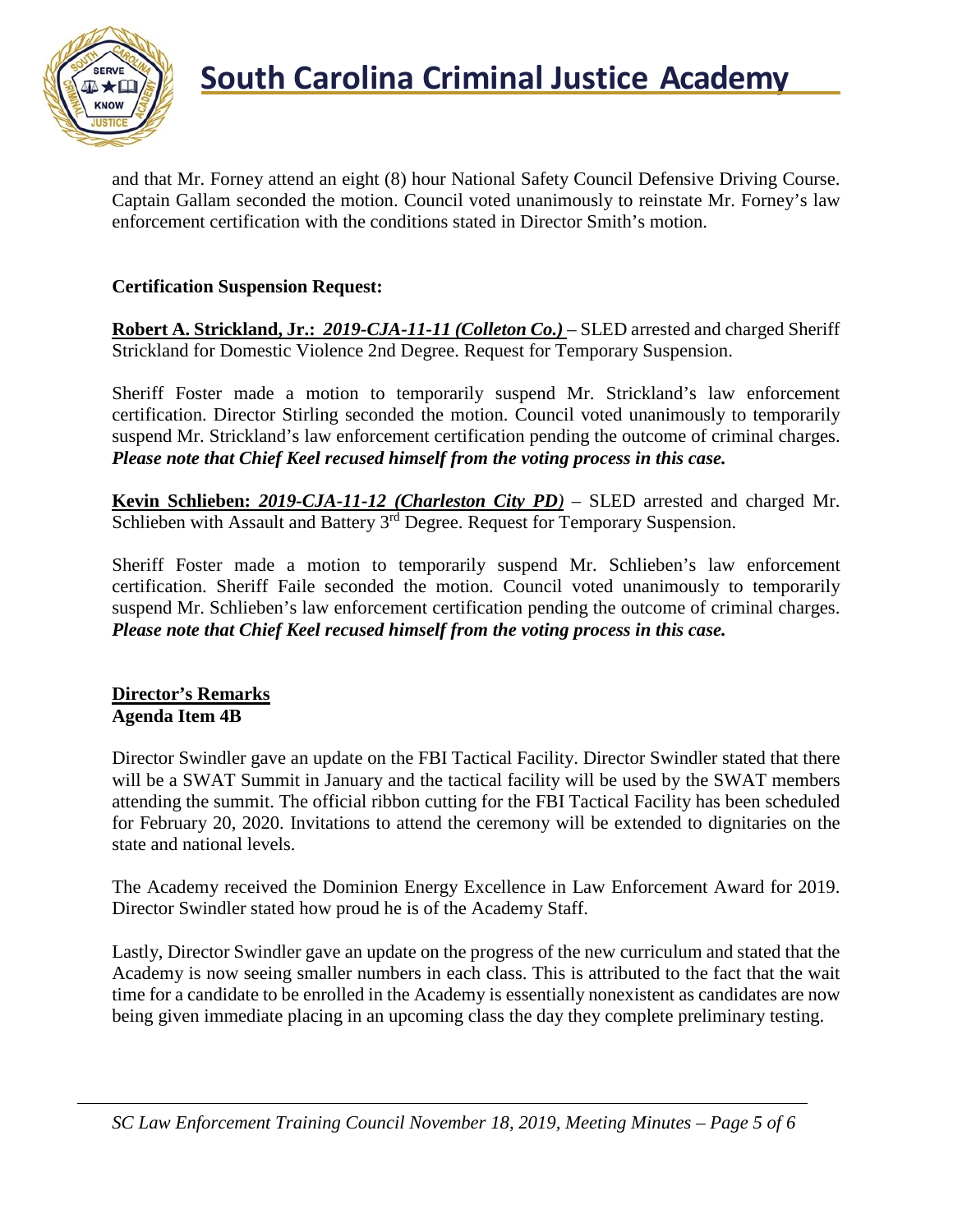

and that Mr. Forney attend an eight (8) hour National Safety Council Defensive Driving Course. Captain Gallam seconded the motion. Council voted unanimously to reinstate Mr. Forney's law enforcement certification with the conditions stated in Director Smith's motion.

### **Certification Suspension Request:**

**Robert A. Strickland, Jr.:** *2019-CJA-11-11 (Colleton Co.)* – SLED arrested and charged Sheriff Strickland for Domestic Violence 2nd Degree. Request for Temporary Suspension.

Sheriff Foster made a motion to temporarily suspend Mr. Strickland's law enforcement certification. Director Stirling seconded the motion. Council voted unanimously to temporarily suspend Mr. Strickland's law enforcement certification pending the outcome of criminal charges. *Please note that Chief Keel recused himself from the voting process in this case.*

**Kevin Schlieben:** *2019-CJA-11-12 (Charleston City PD)* – SLED arrested and charged Mr. Schlieben with Assault and Battery 3<sup>rd</sup> Degree. Request for Temporary Suspension.

Sheriff Foster made a motion to temporarily suspend Mr. Schlieben's law enforcement certification. Sheriff Faile seconded the motion. Council voted unanimously to temporarily suspend Mr. Schlieben's law enforcement certification pending the outcome of criminal charges. *Please note that Chief Keel recused himself from the voting process in this case.*

### **Director's Remarks Agenda Item 4B**

Director Swindler gave an update on the FBI Tactical Facility. Director Swindler stated that there will be a SWAT Summit in January and the tactical facility will be used by the SWAT members attending the summit. The official ribbon cutting for the FBI Tactical Facility has been scheduled for February 20, 2020. Invitations to attend the ceremony will be extended to dignitaries on the state and national levels.

The Academy received the Dominion Energy Excellence in Law Enforcement Award for 2019. Director Swindler stated how proud he is of the Academy Staff.

Lastly, Director Swindler gave an update on the progress of the new curriculum and stated that the Academy is now seeing smaller numbers in each class. This is attributed to the fact that the wait time for a candidate to be enrolled in the Academy is essentially nonexistent as candidates are now being given immediate placing in an upcoming class the day they complete preliminary testing.